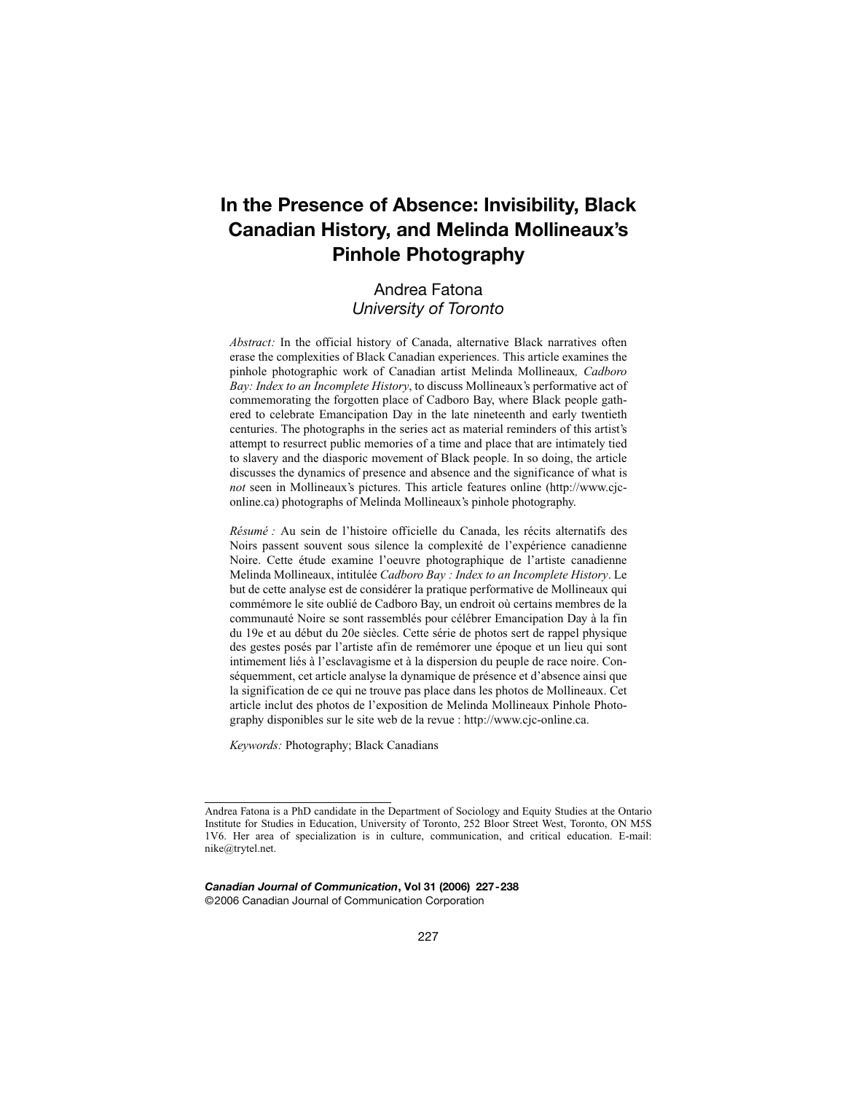# **In the Presence of Absence: Invisibility, Black Canadian History, and Melinda Mollineaux's Pinhole Photography**

# Andrea Fatona *University of Toronto*

*Abstract:* In the official history of Canada, alternative Black narratives often erase the complexities of Black Canadian experiences. This article examines the pinhole photographic work of Canadian artist Melinda Mollineaux*, Cadboro Bay: Index to an Incomplete History*, to discuss Mollineaux's performative act of commemorating the forgotten place of Cadboro Bay, where Black people gathered to celebrate Emancipation Day in the late nineteenth and early twentieth centuries. The photographs in the series act as material reminders of this artist's attempt to resurrect public memories of a time and place that are intimately tied to slavery and the diasporic movement of Black people. In so doing, the article discusses the dynamics of presence and absence and the significance of what is *not* seen in Mollineaux's pictures. This article features online (http://www.cjconline.ca) photographs of Melinda Mollineaux's pinhole photography.

*Résumé :* Au sein de l'histoire officielle du Canada, les récits alternatifs des Noirs passent souvent sous silence la complexité de l'expérience canadienne Noire. Cette étude examine l'oeuvre photographique de l'artiste canadienne Melinda Mollineaux, intitulée *Cadboro Bay : Index to an Incomplete History*. Le but de cette analyse est de considérer la pratique performative de Mollineaux qui commémore le site oublié de Cadboro Bay, un endroit où certains membres de la communauté Noire se sont rassemblés pour célébrer Emancipation Day à la fin du 19e et au début du 20e siècles. Cette série de photos sert de rappel physique des gestes posés par l'artiste afin de remémorer une époque et un lieu qui sont intimement liés à l'esclavagisme et à la dispersion du peuple de race noire. Conséquemment, cet article analyse la dynamique de présence et d'absence ainsi que la signification de ce qui ne trouve pas place dans les photos de Mollineaux. Cet article inclut des photos de l'exposition de Melinda Mollineaux Pinhole Photography disponibles sur le site web de la revue : http://www.cjc-online.ca.

*Keywords:* Photography; Black Canadians

*Canadian Journal of Communication***, Vol 31 (2006) 227-238** ©2006 Canadian Journal of Communication Corporation

Andrea Fatona is a PhD candidate in the Department of Sociology and Equity Studies at the Ontario Institute for Studies in Education, University of Toronto, 252 Bloor Street West, Toronto, ON M5S 1V6. Her area of specialization is in culture, communication, and critical education. E-mail: nike@trytel.net.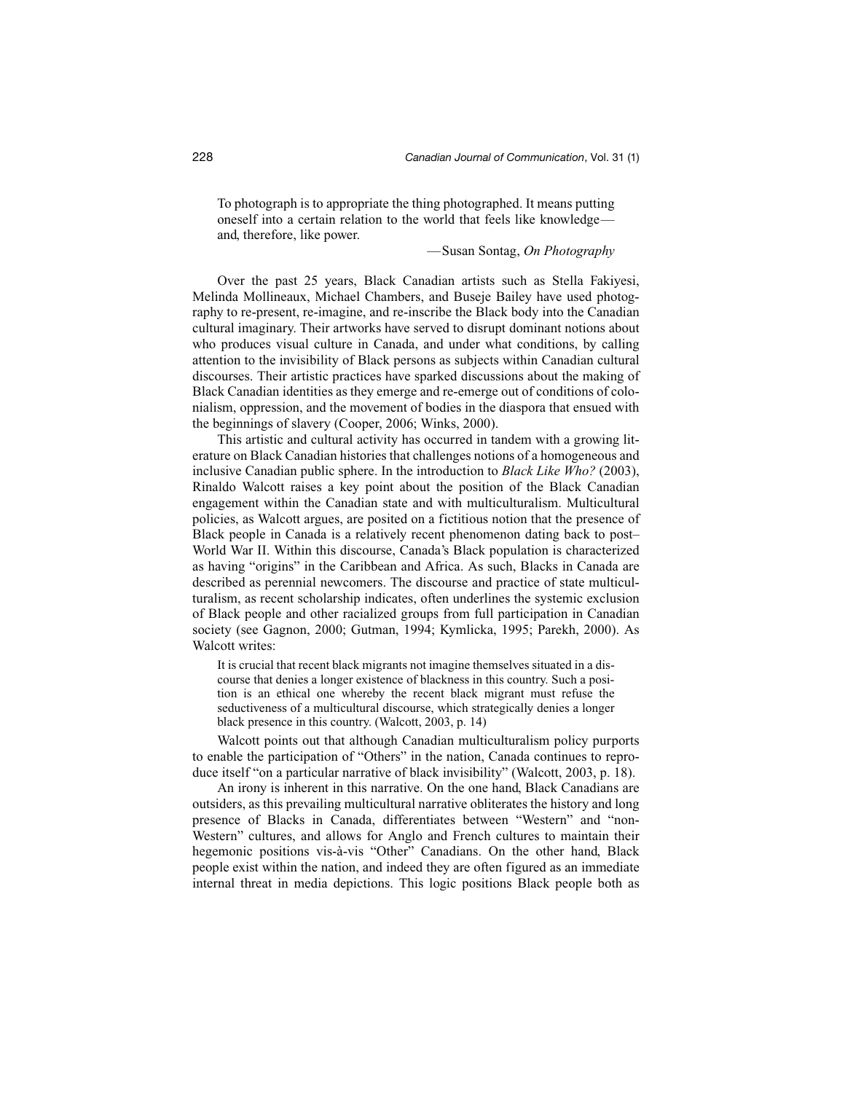To photograph is to appropriate the thing photographed. It means putting oneself into a certain relation to the world that feels like knowledge and, therefore, like power.

—Susan Sontag, *On Photography*

Over the past 25 years, Black Canadian artists such as Stella Fakiyesi, Melinda Mollineaux, Michael Chambers, and Buseje Bailey have used photography to re-present, re-imagine, and re-inscribe the Black body into the Canadian cultural imaginary. Their artworks have served to disrupt dominant notions about who produces visual culture in Canada, and under what conditions, by calling attention to the invisibility of Black persons as subjects within Canadian cultural discourses. Their artistic practices have sparked discussions about the making of Black Canadian identities as they emerge and re-emerge out of conditions of colonialism, oppression, and the movement of bodies in the diaspora that ensued with the beginnings of slavery (Cooper, 2006; Winks, 2000).

This artistic and cultural activity has occurred in tandem with a growing literature on Black Canadian histories that challenges notions of a homogeneous and inclusive Canadian public sphere. In the introduction to *Black Like Who?* (2003), Rinaldo Walcott raises a key point about the position of the Black Canadian engagement within the Canadian state and with multiculturalism. Multicultural policies, as Walcott argues, are posited on a fictitious notion that the presence of Black people in Canada is a relatively recent phenomenon dating back to post– World War II. Within this discourse, Canada's Black population is characterized as having "origins" in the Caribbean and Africa. As such, Blacks in Canada are described as perennial newcomers. The discourse and practice of state multiculturalism, as recent scholarship indicates, often underlines the systemic exclusion of Black people and other racialized groups from full participation in Canadian society (see Gagnon, 2000; Gutman, 1994; Kymlicka, 1995; Parekh, 2000). As Walcott writes:

It is crucial that recent black migrants not imagine themselves situated in a discourse that denies a longer existence of blackness in this country. Such a position is an ethical one whereby the recent black migrant must refuse the seductiveness of a multicultural discourse, which strategically denies a longer black presence in this country. (Walcott, 2003, p. 14)

Walcott points out that although Canadian multiculturalism policy purports to enable the participation of "Others" in the nation, Canada continues to reproduce itself "on a particular narrative of black invisibility" (Walcott, 2003, p. 18).

An irony is inherent in this narrative. On the one hand, Black Canadians are outsiders, as this prevailing multicultural narrative obliterates the history and long presence of Blacks in Canada, differentiates between "Western" and "non-Western" cultures, and allows for Anglo and French cultures to maintain their hegemonic positions vis-à-vis "Other" Canadians. On the other hand, Black people exist within the nation, and indeed they are often figured as an immediate internal threat in media depictions. This logic positions Black people both as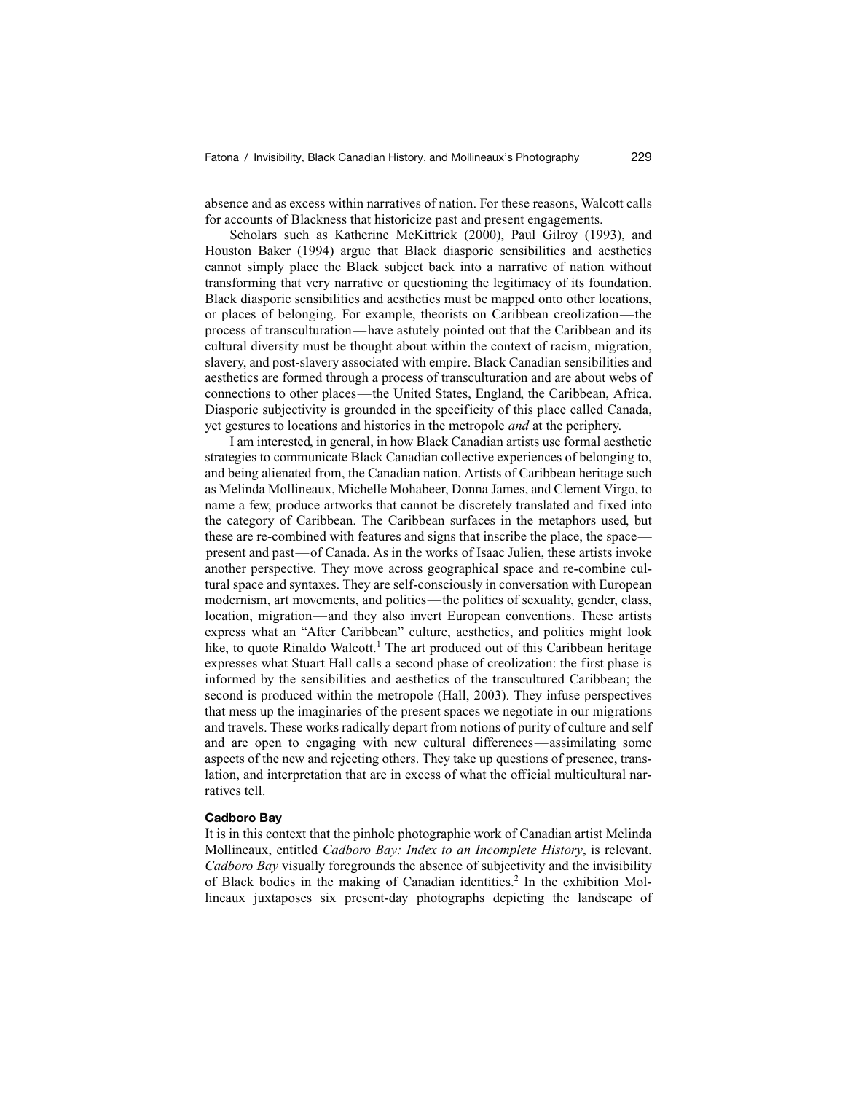absence and as excess within narratives of nation. For these reasons, Walcott calls for accounts of Blackness that historicize past and present engagements.

Scholars such as Katherine McKittrick (2000), Paul Gilroy (1993), and Houston Baker (1994) argue that Black diasporic sensibilities and aesthetics cannot simply place the Black subject back into a narrative of nation without transforming that very narrative or questioning the legitimacy of its foundation. Black diasporic sensibilities and aesthetics must be mapped onto other locations, or places of belonging. For example, theorists on Caribbean creolization—the process of transculturation—have astutely pointed out that the Caribbean and its cultural diversity must be thought about within the context of racism, migration, slavery, and post-slavery associated with empire. Black Canadian sensibilities and aesthetics are formed through a process of transculturation and are about webs of connections to other places—the United States, England, the Caribbean, Africa. Diasporic subjectivity is grounded in the specificity of this place called Canada, yet gestures to locations and histories in the metropole *and* at the periphery.

I am interested, in general, in how Black Canadian artists use formal aesthetic strategies to communicate Black Canadian collective experiences of belonging to, and being alienated from, the Canadian nation. Artists of Caribbean heritage such as Melinda Mollineaux, Michelle Mohabeer, Donna James, and Clement Virgo, to name a few, produce artworks that cannot be discretely translated and fixed into the category of Caribbean. The Caribbean surfaces in the metaphors used, but these are re-combined with features and signs that inscribe the place, the space present and past—of Canada. As in the works of Isaac Julien, these artists invoke another perspective. They move across geographical space and re-combine cultural space and syntaxes. They are self-consciously in conversation with European modernism, art movements, and politics—the politics of sexuality, gender, class, location, migration—and they also invert European conventions. These artists express what an "After Caribbean" culture, aesthetics, and politics might look like, to quote Rinaldo Walcott.<sup>1</sup> The art produced out of this Caribbean heritage expresses what Stuart Hall calls a second phase of creolization: the first phase is informed by the sensibilities and aesthetics of the transcultured Caribbean; the second is produced within the metropole (Hall, 2003). They infuse perspectives that mess up the imaginaries of the present spaces we negotiate in our migrations and travels. These works radically depart from notions of purity of culture and self and are open to engaging with new cultural differences—assimilating some aspects of the new and rejecting others. They take up questions of presence, translation, and interpretation that are in excess of what the official multicultural narratives tell.

## **Cadboro Bay**

It is in this context that the pinhole photographic work of Canadian artist Melinda Mollineaux, entitled *Cadboro Bay: Index to an Incomplete History*, is relevant. *Cadboro Bay* visually foregrounds the absence of subjectivity and the invisibility of Black bodies in the making of Canadian identities.<sup>2</sup> In the exhibition Mollineaux juxtaposes six present-day photographs depicting the landscape of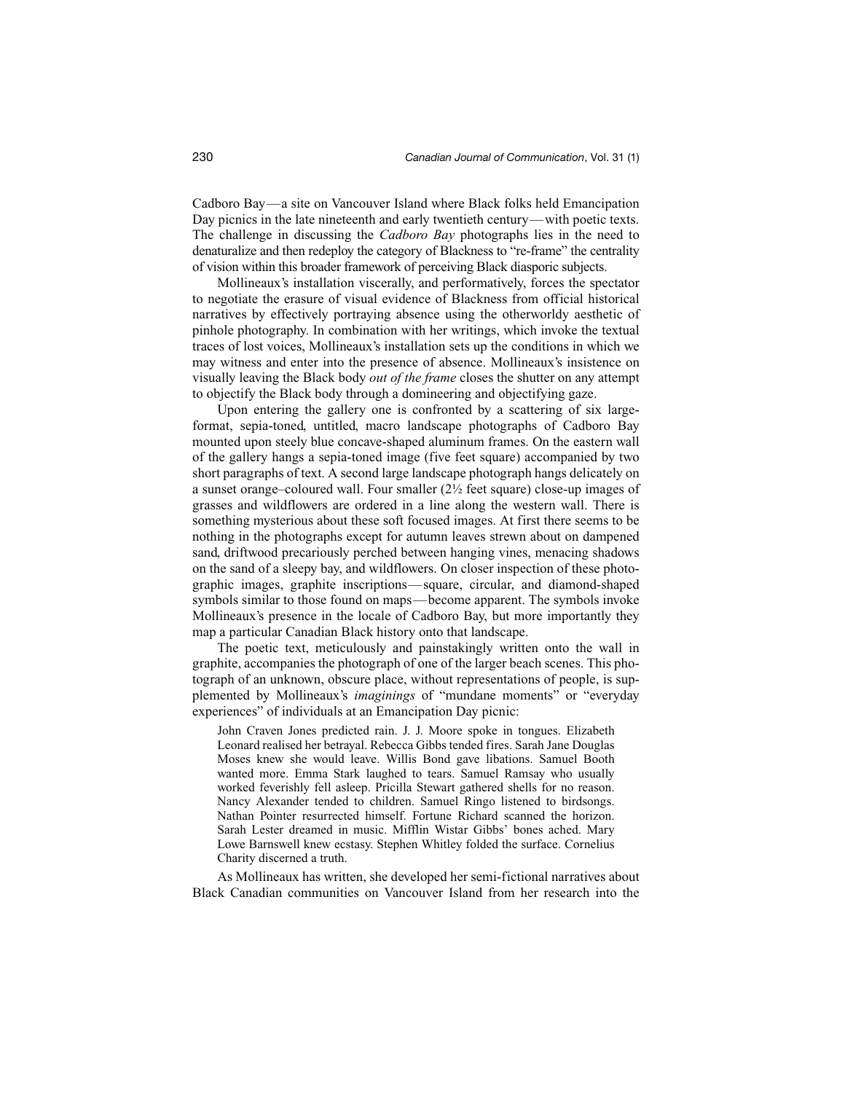Cadboro Bay—a site on Vancouver Island where Black folks held Emancipation Day picnics in the late nineteenth and early twentieth century—with poetic texts. The challenge in discussing the *Cadboro Bay* photographs lies in the need to denaturalize and then redeploy the category of Blackness to "re-frame" the centrality of vision within this broader framework of perceiving Black diasporic subjects.

Mollineaux's installation viscerally, and performatively, forces the spectator to negotiate the erasure of visual evidence of Blackness from official historical narratives by effectively portraying absence using the otherworldy aesthetic of pinhole photography. In combination with her writings, which invoke the textual traces of lost voices, Mollineaux's installation sets up the conditions in which we may witness and enter into the presence of absence. Mollineaux's insistence on visually leaving the Black body *out of the frame* closes the shutter on any attempt to objectify the Black body through a domineering and objectifying gaze.

Upon entering the gallery one is confronted by a scattering of six largeformat, sepia-toned, untitled, macro landscape photographs of Cadboro Bay mounted upon steely blue concave-shaped aluminum frames. On the eastern wall of the gallery hangs a sepia-toned image (five feet square) accompanied by two short paragraphs of text. A second large landscape photograph hangs delicately on a sunset orange–coloured wall. Four smaller  $(2\frac{1}{2})$  feet square) close-up images of grasses and wildflowers are ordered in a line along the western wall. There is something mysterious about these soft focused images. At first there seems to be nothing in the photographs except for autumn leaves strewn about on dampened sand, driftwood precariously perched between hanging vines, menacing shadows on the sand of a sleepy bay, and wildflowers. On closer inspection of these photographic images, graphite inscriptions—square, circular, and diamond-shaped symbols similar to those found on maps—become apparent. The symbols invoke Mollineaux's presence in the locale of Cadboro Bay, but more importantly they map a particular Canadian Black history onto that landscape.

The poetic text, meticulously and painstakingly written onto the wall in graphite, accompanies the photograph of one of the larger beach scenes. This photograph of an unknown, obscure place, without representations of people, is supplemented by Mollineaux's *imaginings* of "mundane moments" or "everyday experiences" of individuals at an Emancipation Day picnic:

John Craven Jones predicted rain. J. J. Moore spoke in tongues. Elizabeth Leonard realised her betrayal. Rebecca Gibbs tended fires. Sarah Jane Douglas Moses knew she would leave. Willis Bond gave libations. Samuel Booth wanted more. Emma Stark laughed to tears. Samuel Ramsay who usually worked feverishly fell asleep. Pricilla Stewart gathered shells for no reason. Nancy Alexander tended to children. Samuel Ringo listened to birdsongs. Nathan Pointer resurrected himself. Fortune Richard scanned the horizon. Sarah Lester dreamed in music. Mifflin Wistar Gibbs' bones ached. Mary Lowe Barnswell knew ecstasy. Stephen Whitley folded the surface. Cornelius Charity discerned a truth.

As Mollineaux has written, she developed her semi-fictional narratives about Black Canadian communities on Vancouver Island from her research into the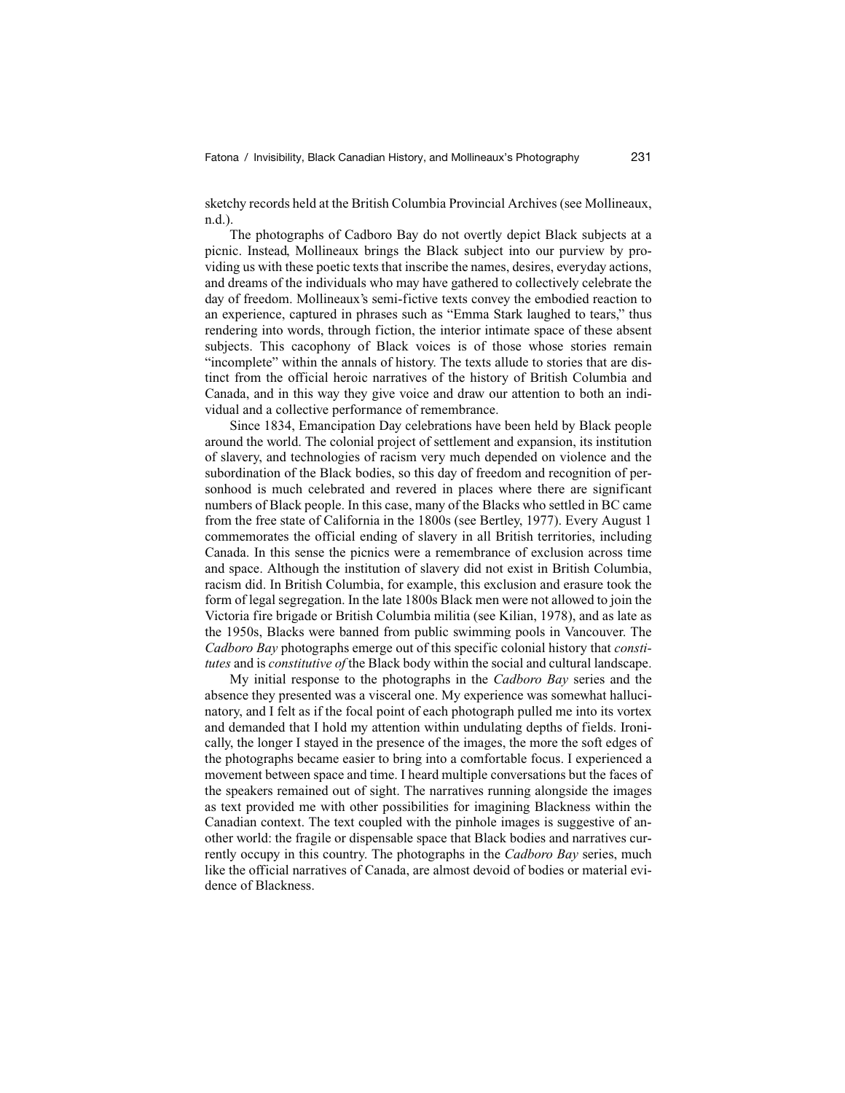sketchy records held at the British Columbia Provincial Archives (see Mollineaux, n.d.).

The photographs of Cadboro Bay do not overtly depict Black subjects at a picnic. Instead, Mollineaux brings the Black subject into our purview by providing us with these poetic texts that inscribe the names, desires, everyday actions, and dreams of the individuals who may have gathered to collectively celebrate the day of freedom. Mollineaux's semi-fictive texts convey the embodied reaction to an experience, captured in phrases such as "Emma Stark laughed to tears," thus rendering into words, through fiction, the interior intimate space of these absent subjects. This cacophony of Black voices is of those whose stories remain "incomplete" within the annals of history. The texts allude to stories that are distinct from the official heroic narratives of the history of British Columbia and Canada, and in this way they give voice and draw our attention to both an individual and a collective performance of remembrance.

Since 1834, Emancipation Day celebrations have been held by Black people around the world. The colonial project of settlement and expansion, its institution of slavery, and technologies of racism very much depended on violence and the subordination of the Black bodies, so this day of freedom and recognition of personhood is much celebrated and revered in places where there are significant numbers of Black people. In this case, many of the Blacks who settled in BC came from the free state of California in the 1800s (see Bertley, 1977). Every August 1 commemorates the official ending of slavery in all British territories, including Canada. In this sense the picnics were a remembrance of exclusion across time and space. Although the institution of slavery did not exist in British Columbia, racism did. In British Columbia, for example, this exclusion and erasure took the form of legal segregation. In the late 1800s Black men were not allowed to join the Victoria fire brigade or British Columbia militia (see Kilian, 1978), and as late as the 1950s, Blacks were banned from public swimming pools in Vancouver. The *Cadboro Bay* photographs emerge out of this specific colonial history that *constitutes* and is *constitutive of* the Black body within the social and cultural landscape.

My initial response to the photographs in the *Cadboro Bay* series and the absence they presented was a visceral one. My experience was somewhat hallucinatory, and I felt as if the focal point of each photograph pulled me into its vortex and demanded that I hold my attention within undulating depths of fields. Ironically, the longer I stayed in the presence of the images, the more the soft edges of the photographs became easier to bring into a comfortable focus. I experienced a movement between space and time. I heard multiple conversations but the faces of the speakers remained out of sight. The narratives running alongside the images as text provided me with other possibilities for imagining Blackness within the Canadian context. The text coupled with the pinhole images is suggestive of another world: the fragile or dispensable space that Black bodies and narratives currently occupy in this country. The photographs in the *Cadboro Bay* series, much like the official narratives of Canada, are almost devoid of bodies or material evidence of Blackness.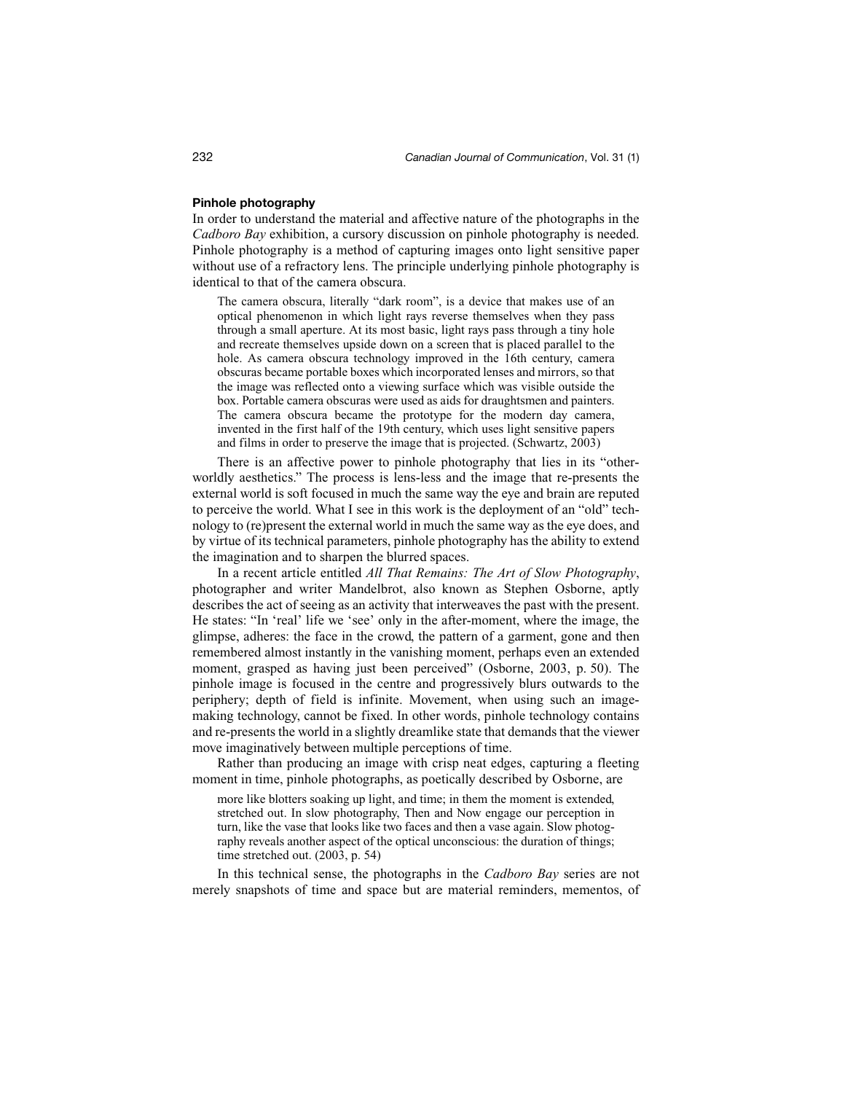# **Pinhole photography**

In order to understand the material and affective nature of the photographs in the *Cadboro Bay* exhibition, a cursory discussion on pinhole photography is needed. Pinhole photography is a method of capturing images onto light sensitive paper without use of a refractory lens. The principle underlying pinhole photography is identical to that of the camera obscura.

The camera obscura, literally "dark room", is a device that makes use of an optical phenomenon in which light rays reverse themselves when they pass through a small aperture. At its most basic, light rays pass through a tiny hole and recreate themselves upside down on a screen that is placed parallel to the hole. As camera obscura technology improved in the 16th century, camera obscuras became portable boxes which incorporated lenses and mirrors, so that the image was reflected onto a viewing surface which was visible outside the box. Portable camera obscuras were used as aids for draughtsmen and painters. The camera obscura became the prototype for the modern day camera, invented in the first half of the 19th century, which uses light sensitive papers and films in order to preserve the image that is projected. (Schwartz, 2003)

There is an affective power to pinhole photography that lies in its "otherworldly aesthetics." The process is lens-less and the image that re-presents the external world is soft focused in much the same way the eye and brain are reputed to perceive the world. What I see in this work is the deployment of an "old" technology to (re)present the external world in much the same way as the eye does, and by virtue of its technical parameters, pinhole photography has the ability to extend the imagination and to sharpen the blurred spaces.

In a recent article entitled *All That Remains: The Art of Slow Photography*, photographer and writer Mandelbrot, also known as Stephen Osborne, aptly describes the act of seeing as an activity that interweaves the past with the present. He states: "In 'real' life we 'see' only in the after-moment, where the image, the glimpse, adheres: the face in the crowd, the pattern of a garment, gone and then remembered almost instantly in the vanishing moment, perhaps even an extended moment, grasped as having just been perceived" (Osborne, 2003, p. 50). The pinhole image is focused in the centre and progressively blurs outwards to the periphery; depth of field is infinite. Movement, when using such an imagemaking technology, cannot be fixed. In other words, pinhole technology contains and re-presents the world in a slightly dreamlike state that demands that the viewer move imaginatively between multiple perceptions of time.

Rather than producing an image with crisp neat edges, capturing a fleeting moment in time, pinhole photographs, as poetically described by Osborne, are

more like blotters soaking up light, and time; in them the moment is extended, stretched out. In slow photography, Then and Now engage our perception in turn, like the vase that looks like two faces and then a vase again. Slow photography reveals another aspect of the optical unconscious: the duration of things; time stretched out. (2003, p. 54)

In this technical sense, the photographs in the *Cadboro Bay* series are not merely snapshots of time and space but are material reminders, mementos, of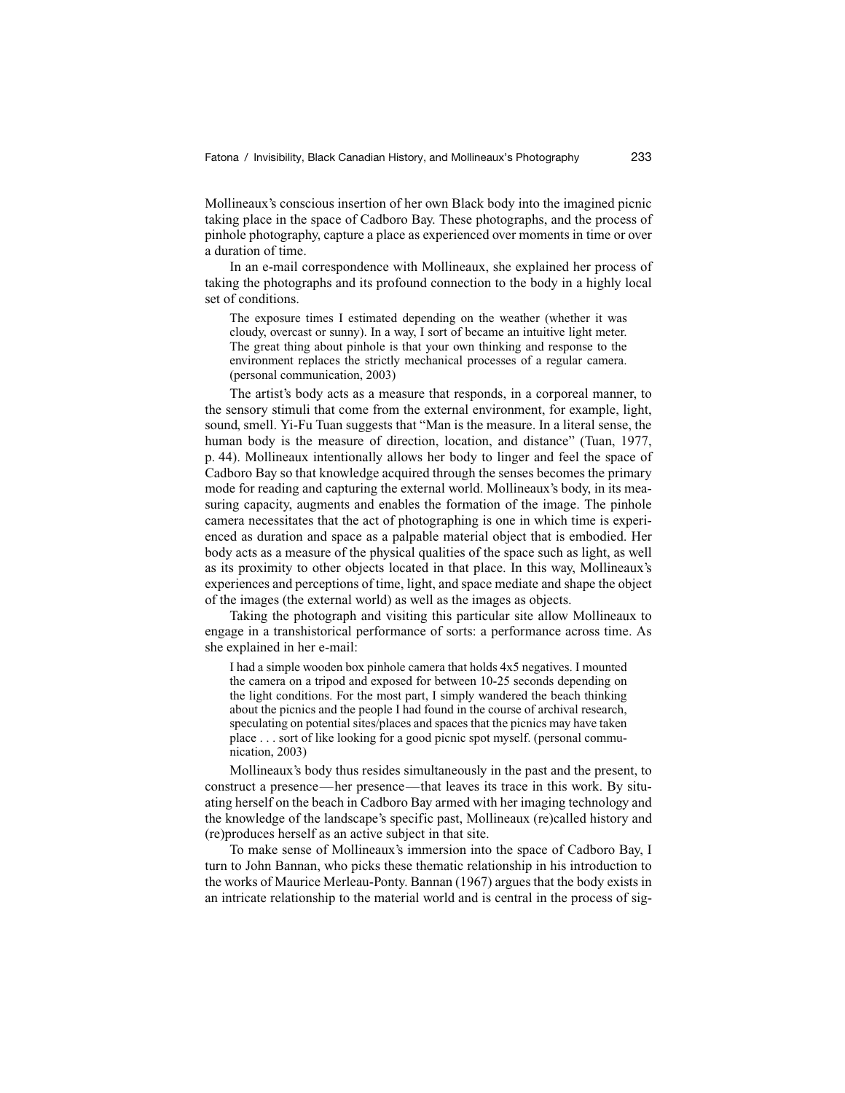Mollineaux's conscious insertion of her own Black body into the imagined picnic taking place in the space of Cadboro Bay. These photographs, and the process of pinhole photography, capture a place as experienced over moments in time or over a duration of time.

In an e-mail correspondence with Mollineaux, she explained her process of taking the photographs and its profound connection to the body in a highly local set of conditions.

The exposure times I estimated depending on the weather (whether it was cloudy, overcast or sunny). In a way, I sort of became an intuitive light meter. The great thing about pinhole is that your own thinking and response to the environment replaces the strictly mechanical processes of a regular camera. (personal communication, 2003)

The artist's body acts as a measure that responds, in a corporeal manner, to the sensory stimuli that come from the external environment, for example, light, sound, smell. Yi-Fu Tuan suggests that "Man is the measure. In a literal sense, the human body is the measure of direction, location, and distance" (Tuan, 1977, p. 44). Mollineaux intentionally allows her body to linger and feel the space of Cadboro Bay so that knowledge acquired through the senses becomes the primary mode for reading and capturing the external world. Mollineaux's body, in its measuring capacity, augments and enables the formation of the image. The pinhole camera necessitates that the act of photographing is one in which time is experienced as duration and space as a palpable material object that is embodied. Her body acts as a measure of the physical qualities of the space such as light, as well as its proximity to other objects located in that place. In this way, Mollineaux's experiences and perceptions of time, light, and space mediate and shape the object of the images (the external world) as well as the images as objects.

Taking the photograph and visiting this particular site allow Mollineaux to engage in a transhistorical performance of sorts: a performance across time. As she explained in her e-mail:

I had a simple wooden box pinhole camera that holds 4x5 negatives. I mounted the camera on a tripod and exposed for between 10-25 seconds depending on the light conditions. For the most part, I simply wandered the beach thinking about the picnics and the people I had found in the course of archival research, speculating on potential sites/places and spaces that the picnics may have taken place . . . sort of like looking for a good picnic spot myself. (personal communication, 2003)

Mollineaux's body thus resides simultaneously in the past and the present, to construct a presence—her presence—that leaves its trace in this work. By situating herself on the beach in Cadboro Bay armed with her imaging technology and the knowledge of the landscape's specific past, Mollineaux (re)called history and (re)produces herself as an active subject in that site.

To make sense of Mollineaux's immersion into the space of Cadboro Bay, I turn to John Bannan, who picks these thematic relationship in his introduction to the works of Maurice Merleau-Ponty. Bannan (1967) argues that the body exists in an intricate relationship to the material world and is central in the process of sig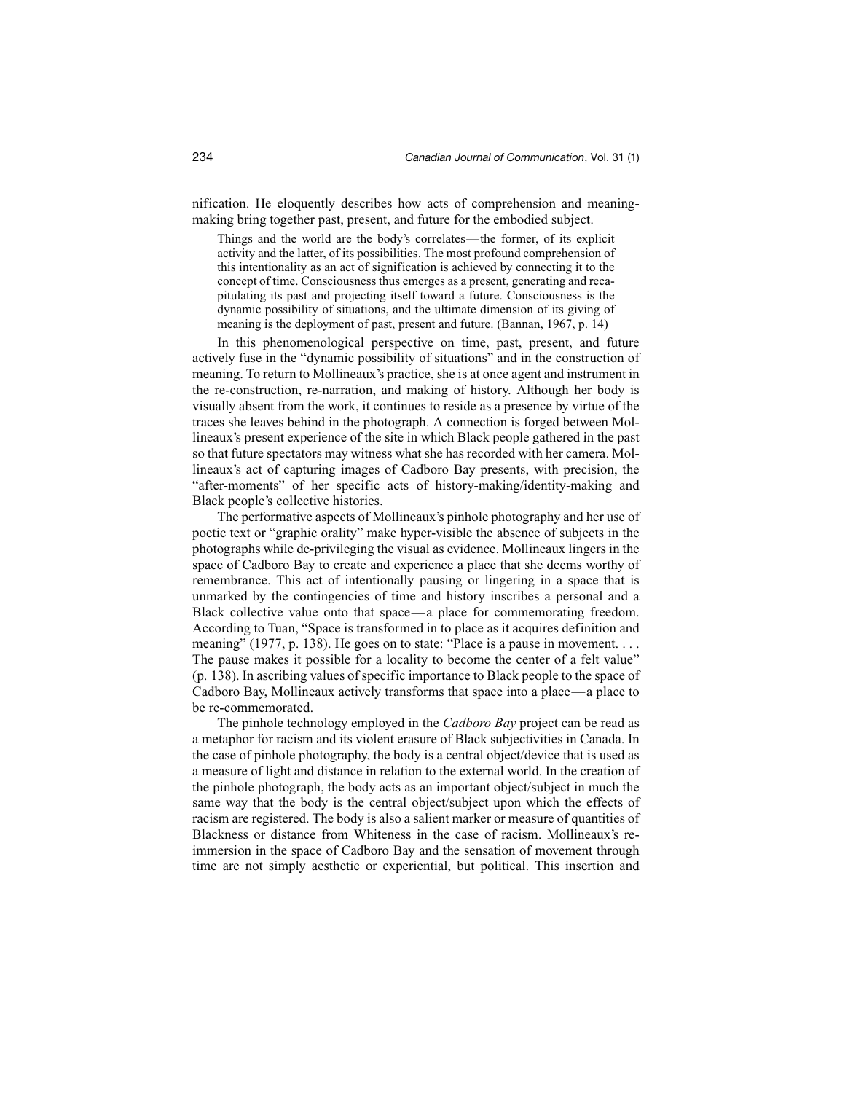nification. He eloquently describes how acts of comprehension and meaningmaking bring together past, present, and future for the embodied subject.

Things and the world are the body's correlates—the former, of its explicit activity and the latter, of its possibilities. The most profound comprehension of this intentionality as an act of signification is achieved by connecting it to the concept of time. Consciousness thus emerges as a present, generating and recapitulating its past and projecting itself toward a future. Consciousness is the dynamic possibility of situations, and the ultimate dimension of its giving of meaning is the deployment of past, present and future. (Bannan, 1967, p. 14)

In this phenomenological perspective on time, past, present, and future actively fuse in the "dynamic possibility of situations" and in the construction of meaning. To return to Mollineaux's practice, she is at once agent and instrument in the re-construction, re-narration, and making of history. Although her body is visually absent from the work, it continues to reside as a presence by virtue of the traces she leaves behind in the photograph. A connection is forged between Mollineaux's present experience of the site in which Black people gathered in the past so that future spectators may witness what she has recorded with her camera. Mollineaux's act of capturing images of Cadboro Bay presents, with precision, the "after-moments" of her specific acts of history-making/identity-making and Black people's collective histories.

The performative aspects of Mollineaux's pinhole photography and her use of poetic text or "graphic orality" make hyper-visible the absence of subjects in the photographs while de-privileging the visual as evidence. Mollineaux lingers in the space of Cadboro Bay to create and experience a place that she deems worthy of remembrance. This act of intentionally pausing or lingering in a space that is unmarked by the contingencies of time and history inscribes a personal and a Black collective value onto that space—a place for commemorating freedom. According to Tuan, "Space is transformed in to place as it acquires definition and meaning" (1977, p. 138). He goes on to state: "Place is a pause in movement. . . . The pause makes it possible for a locality to become the center of a felt value" (p. 138). In ascribing values of specific importance to Black people to the space of Cadboro Bay, Mollineaux actively transforms that space into a place—a place to be re-commemorated.

The pinhole technology employed in the *Cadboro Bay* project can be read as a metaphor for racism and its violent erasure of Black subjectivities in Canada. In the case of pinhole photography, the body is a central object/device that is used as a measure of light and distance in relation to the external world. In the creation of the pinhole photograph, the body acts as an important object/subject in much the same way that the body is the central object/subject upon which the effects of racism are registered. The body is also a salient marker or measure of quantities of Blackness or distance from Whiteness in the case of racism. Mollineaux's reimmersion in the space of Cadboro Bay and the sensation of movement through time are not simply aesthetic or experiential, but political. This insertion and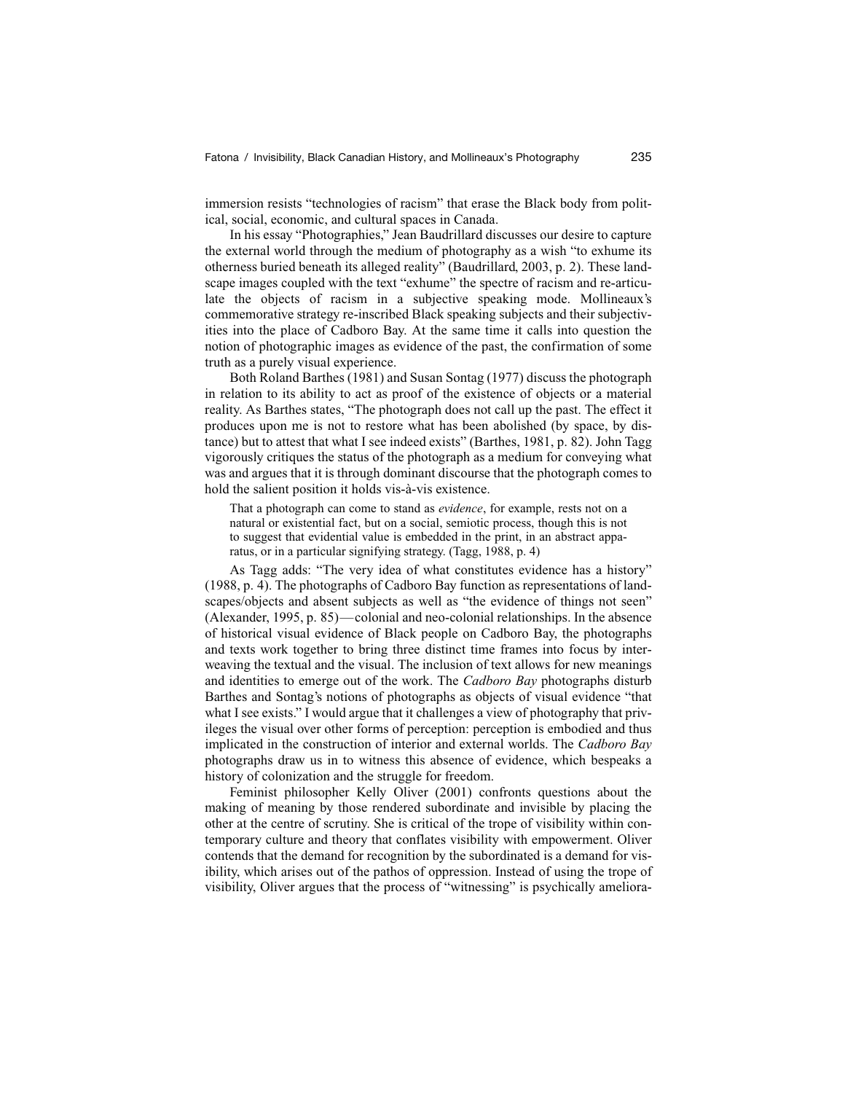immersion resists "technologies of racism" that erase the Black body from political, social, economic, and cultural spaces in Canada.

In his essay "Photographies," Jean Baudrillard discusses our desire to capture the external world through the medium of photography as a wish "to exhume its otherness buried beneath its alleged reality" (Baudrillard, 2003, p. 2). These landscape images coupled with the text "exhume" the spectre of racism and re-articulate the objects of racism in a subjective speaking mode. Mollineaux's commemorative strategy re-inscribed Black speaking subjects and their subjectivities into the place of Cadboro Bay. At the same time it calls into question the notion of photographic images as evidence of the past, the confirmation of some truth as a purely visual experience.

Both Roland Barthes (1981) and Susan Sontag (1977) discuss the photograph in relation to its ability to act as proof of the existence of objects or a material reality. As Barthes states, "The photograph does not call up the past. The effect it produces upon me is not to restore what has been abolished (by space, by distance) but to attest that what I see indeed exists" (Barthes, 1981, p. 82). John Tagg vigorously critiques the status of the photograph as a medium for conveying what was and argues that it is through dominant discourse that the photograph comes to hold the salient position it holds vis-à-vis existence.

That a photograph can come to stand as *evidence*, for example, rests not on a natural or existential fact, but on a social, semiotic process, though this is not to suggest that evidential value is embedded in the print, in an abstract apparatus, or in a particular signifying strategy. (Tagg, 1988, p. 4)

As Tagg adds: "The very idea of what constitutes evidence has a history" (1988, p. 4). The photographs of Cadboro Bay function as representations of landscapes/objects and absent subjects as well as "the evidence of things not seen" (Alexander, 1995, p. 85)—colonial and neo-colonial relationships. In the absence of historical visual evidence of Black people on Cadboro Bay, the photographs and texts work together to bring three distinct time frames into focus by interweaving the textual and the visual. The inclusion of text allows for new meanings and identities to emerge out of the work. The *Cadboro Bay* photographs disturb Barthes and Sontag's notions of photographs as objects of visual evidence "that what I see exists." I would argue that it challenges a view of photography that privileges the visual over other forms of perception: perception is embodied and thus implicated in the construction of interior and external worlds. The *Cadboro Bay* photographs draw us in to witness this absence of evidence, which bespeaks a history of colonization and the struggle for freedom.

Feminist philosopher Kelly Oliver (2001) confronts questions about the making of meaning by those rendered subordinate and invisible by placing the other at the centre of scrutiny. She is critical of the trope of visibility within contemporary culture and theory that conflates visibility with empowerment. Oliver contends that the demand for recognition by the subordinated is a demand for visibility, which arises out of the pathos of oppression. Instead of using the trope of visibility, Oliver argues that the process of "witnessing" is psychically ameliora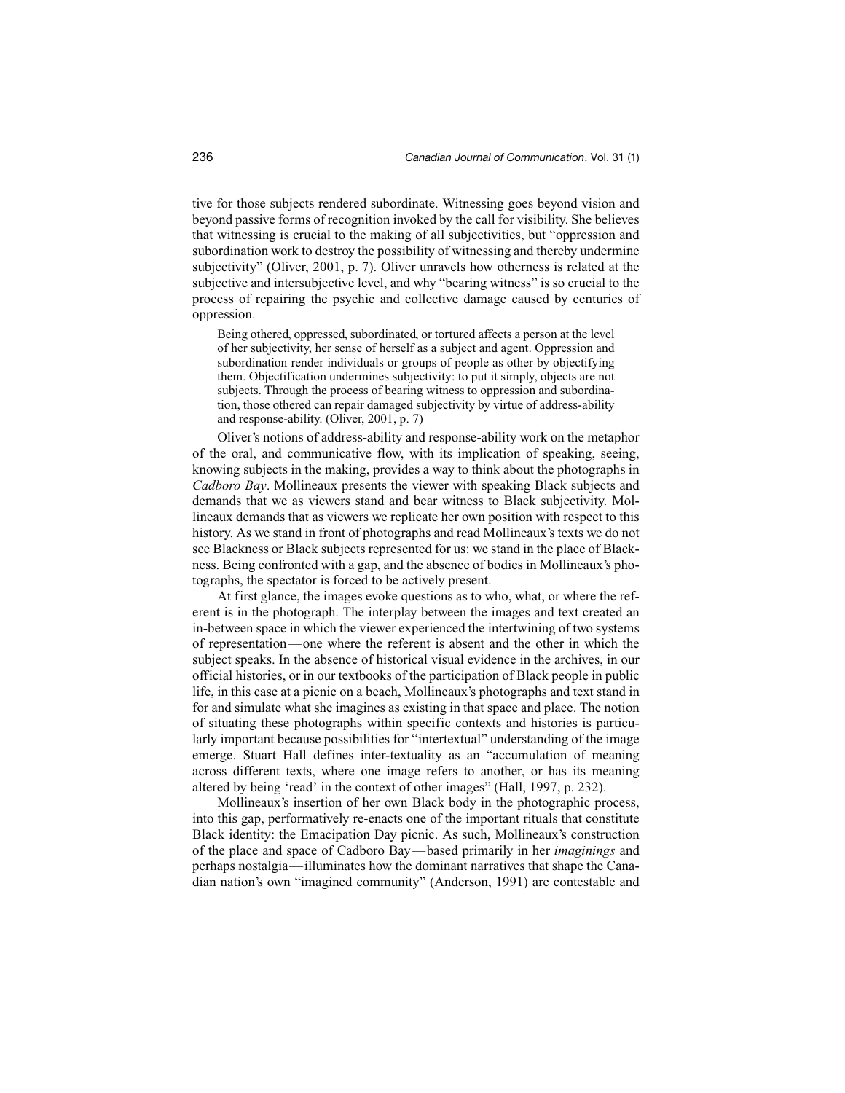tive for those subjects rendered subordinate. Witnessing goes beyond vision and beyond passive forms of recognition invoked by the call for visibility. She believes that witnessing is crucial to the making of all subjectivities, but "oppression and subordination work to destroy the possibility of witnessing and thereby undermine subjectivity" (Oliver, 2001, p. 7). Oliver unravels how otherness is related at the subjective and intersubjective level, and why "bearing witness" is so crucial to the process of repairing the psychic and collective damage caused by centuries of oppression.

Being othered, oppressed, subordinated, or tortured affects a person at the level of her subjectivity, her sense of herself as a subject and agent. Oppression and subordination render individuals or groups of people as other by objectifying them. Objectification undermines subjectivity: to put it simply, objects are not subjects. Through the process of bearing witness to oppression and subordination, those othered can repair damaged subjectivity by virtue of address-ability and response-ability. (Oliver, 2001, p. 7)

Oliver's notions of address-ability and response-ability work on the metaphor of the oral, and communicative flow, with its implication of speaking, seeing, knowing subjects in the making, provides a way to think about the photographs in *Cadboro Bay*. Mollineaux presents the viewer with speaking Black subjects and demands that we as viewers stand and bear witness to Black subjectivity. Mollineaux demands that as viewers we replicate her own position with respect to this history. As we stand in front of photographs and read Mollineaux's texts we do not see Blackness or Black subjects represented for us: we stand in the place of Blackness. Being confronted with a gap, and the absence of bodies in Mollineaux's photographs, the spectator is forced to be actively present.

At first glance, the images evoke questions as to who, what, or where the referent is in the photograph. The interplay between the images and text created an in-between space in which the viewer experienced the intertwining of two systems of representation—one where the referent is absent and the other in which the subject speaks. In the absence of historical visual evidence in the archives, in our official histories, or in our textbooks of the participation of Black people in public life, in this case at a picnic on a beach, Mollineaux's photographs and text stand in for and simulate what she imagines as existing in that space and place. The notion of situating these photographs within specific contexts and histories is particularly important because possibilities for "intertextual" understanding of the image emerge. Stuart Hall defines inter-textuality as an "accumulation of meaning across different texts, where one image refers to another, or has its meaning altered by being 'read' in the context of other images" (Hall, 1997, p. 232).

Mollineaux's insertion of her own Black body in the photographic process, into this gap, performatively re-enacts one of the important rituals that constitute Black identity: the Emacipation Day picnic. As such, Mollineaux's construction of the place and space of Cadboro Bay—based primarily in her *imaginings* and perhaps nostalgia—illuminates how the dominant narratives that shape the Canadian nation's own "imagined community" (Anderson, 1991) are contestable and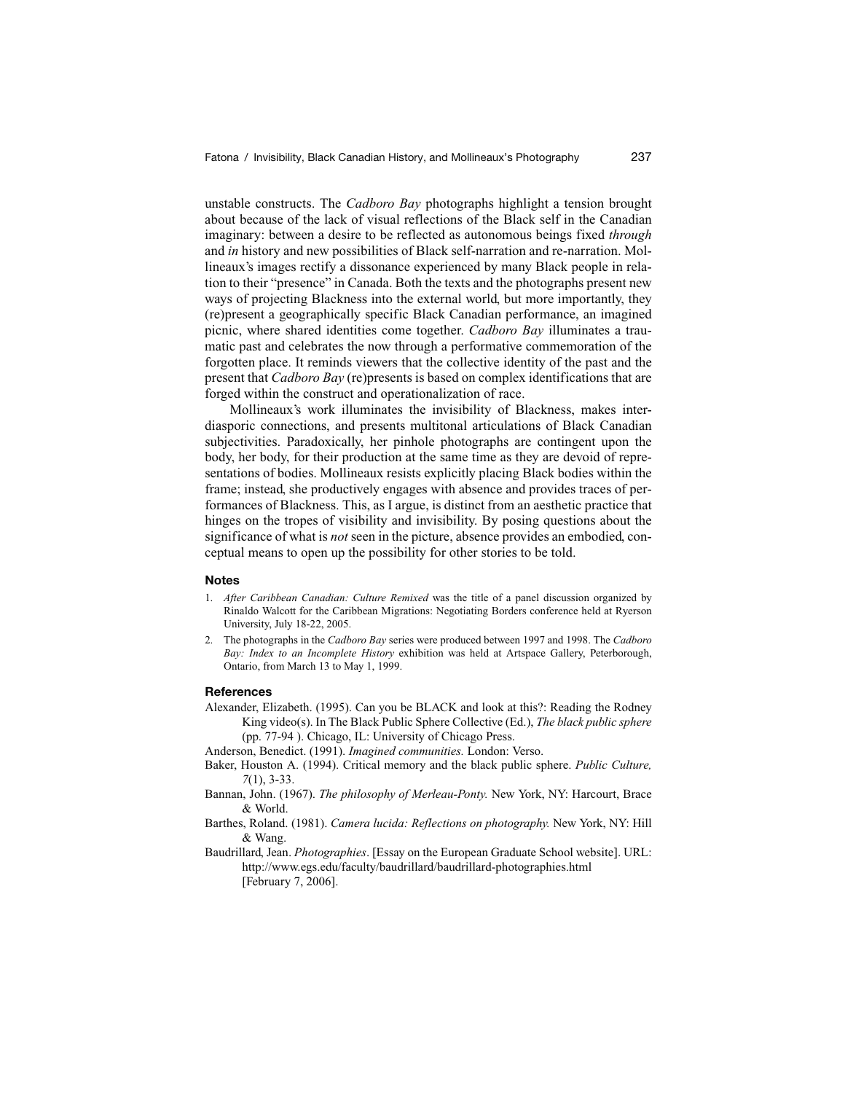unstable constructs. The *Cadboro Bay* photographs highlight a tension brought about because of the lack of visual reflections of the Black self in the Canadian imaginary: between a desire to be reflected as autonomous beings fixed *through* and *in* history and new possibilities of Black self-narration and re-narration. Mollineaux's images rectify a dissonance experienced by many Black people in relation to their "presence" in Canada. Both the texts and the photographs present new ways of projecting Blackness into the external world, but more importantly, they (re)present a geographically specific Black Canadian performance, an imagined picnic, where shared identities come together. *Cadboro Bay* illuminates a traumatic past and celebrates the now through a performative commemoration of the forgotten place. It reminds viewers that the collective identity of the past and the present that *Cadboro Bay* (re)presents is based on complex identifications that are forged within the construct and operationalization of race.

Mollineaux's work illuminates the invisibility of Blackness, makes interdiasporic connections, and presents multitonal articulations of Black Canadian subjectivities. Paradoxically, her pinhole photographs are contingent upon the body, her body, for their production at the same time as they are devoid of representations of bodies. Mollineaux resists explicitly placing Black bodies within the frame; instead, she productively engages with absence and provides traces of performances of Blackness. This, as I argue, is distinct from an aesthetic practice that hinges on the tropes of visibility and invisibility. By posing questions about the significance of what is *not* seen in the picture, absence provides an embodied, conceptual means to open up the possibility for other stories to be told.

### **Notes**

- 1. *After Caribbean Canadian: Culture Remixed* was the title of a panel discussion organized by Rinaldo Walcott for the Caribbean Migrations: Negotiating Borders conference held at Ryerson University, July 18-22, 2005.
- 2. The photographs in the *Cadboro Bay* series were produced between 1997 and 1998. The *Cadboro Bay: Index to an Incomplete History* exhibition was held at Artspace Gallery, Peterborough, Ontario, from March 13 to May 1, 1999.

#### **References**

- Alexander, Elizabeth. (1995). Can you be BLACK and look at this?: Reading the Rodney King video(s). In The Black Public Sphere Collective (Ed.), *The black public sphere* (pp. 77-94 ). Chicago, IL: University of Chicago Press.
- Anderson, Benedict. (1991). *Imagined communities.* London: Verso.
- Baker, Houston A. (1994). Critical memory and the black public sphere. *Public Culture, 7*(1), 3-33.
- Bannan, John. (1967). *The philosophy of Merleau-Ponty.* New York, NY: Harcourt, Brace & World.
- Barthes, Roland. (1981). *Camera lucida: Reflections on photography.* New York, NY: Hill & Wang.
- Baudrillard, Jean. *Photographies*. [Essay on the European Graduate School website]. URL: http://www.egs.edu/faculty/baudrillard/baudrillard-photographies.html [February 7, 2006].